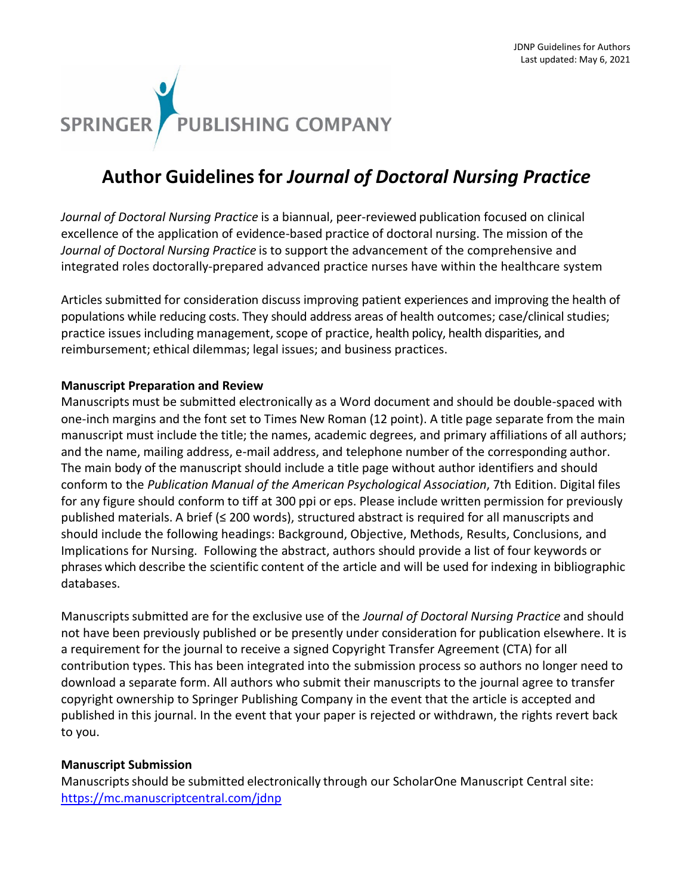

## **Author Guidelinesfor** *Journal of Doctoral Nursing Practice*

*Journal of Doctoral Nursing Practice* is a biannual, peer-reviewed publication focused on clinical excellence of the application of evidence-based practice of doctoral nursing. The mission of the *Journal of Doctoral Nursing Practice* is to support the advancement of the comprehensive and integrated roles doctorally-prepared advanced practice nurses have within the healthcare system

Articles submitted for consideration discuss improving patient experiences and improving the health of populations while reducing costs. They should address areas of health outcomes; case/clinical studies; practice issues including management, scope of practice, health policy, health disparities, and reimbursement; ethical dilemmas; legal issues; and business practices.

### **Manuscript Preparation and Review**

Manuscripts must be submitted electronically as a Word document and should be double-spaced with one-inch margins and the font set to Times New Roman (12 point). A title page separate from the main manuscript must include the title; the names, academic degrees, and primary affiliations of all authors; and the name, mailing address, e-mail address, and telephone number of the corresponding author. The main body of the manuscript should include a title page without author identifiers and should conform to the *Publication Manual of the American Psychological Association*, 7th Edition. Digital files for any figure should conform to tiff at 300 ppi or eps. Please include written permission for previously published materials. A brief (≤ 200 words), structured abstract is required for all manuscripts and should include the following headings: Background, Objective, Methods, Results, Conclusions, and Implications for Nursing. Following the abstract, authors should provide a list of four keywords or phrases which describe the scientific content of the article and will be used for indexing in bibliographic databases.

Manuscriptssubmitted are for the exclusive use of the *Journal of Doctoral Nursing Practice* and should not have been previously published or be presently under consideration for publication elsewhere. It is a requirement for the journal to receive a signed Copyright Transfer Agreement (CTA) for all contribution types. This has been integrated into the submission process so authors no longer need to download a separate form. All authors who submit their manuscripts to the journal agree to transfer copyright ownership to Springer Publishing Company in the event that the article is accepted and published in this journal. In the event that your paper is rejected or withdrawn, the rights revert back to you.

#### **Manuscript Submission**

Manuscripts should be submitted electronically through our ScholarOne Manuscript Central site: <https://mc.manuscriptcentral.com/jdnp>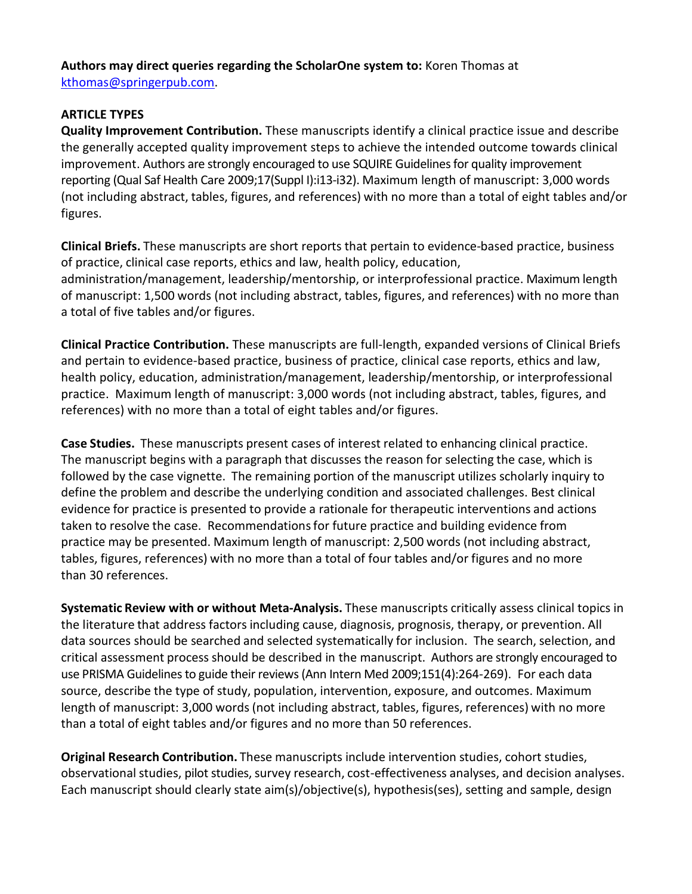# **Authors may direct queries regarding the ScholarOne system to:** Koren Thomas at

[kthomas@springerpub.com.](mailto:kthomas@springerpub.com)

## **ARTICLE TYPES**

**Quality Improvement Contribution.** These manuscripts identify a clinical practice issue and describe the generally accepted quality improvement steps to achieve the intended outcome towards clinical improvement. Authors are strongly encouraged to use SQUIRE Guidelines for quality improvement reporting (Qual Saf Health Care 2009;17(Suppl I):i13-i32). Maximum length of manuscript: 3,000 words (not including abstract, tables, figures, and references) with no more than a total of eight tables and/or figures.

**Clinical Briefs.** These manuscripts are short reports that pertain to evidence-based practice, business of practice, clinical case reports, ethics and law, health policy, education, administration/management, leadership/mentorship, or interprofessional practice. Maximum length of manuscript: 1,500 words (not including abstract, tables, figures, and references) with no more than a total of five tables and/or figures.

**Clinical Practice Contribution.** These manuscripts are full-length, expanded versions of Clinical Briefs and pertain to evidence-based practice, business of practice, clinical case reports, ethics and law, health policy, education, administration/management, leadership/mentorship, or interprofessional practice. Maximum length of manuscript: 3,000 words (not including abstract, tables, figures, and references) with no more than a total of eight tables and/or figures.

**Case Studies.** These manuscripts present cases of interest related to enhancing clinical practice. The manuscript begins with a paragraph that discusses the reason for selecting the case, which is followed by the case vignette. The remaining portion of the manuscript utilizes scholarly inquiry to define the problem and describe the underlying condition and associated challenges. Best clinical evidence for practice is presented to provide a rationale for therapeutic interventions and actions taken to resolve the case. Recommendationsfor future practice and building evidence from practice may be presented. Maximum length of manuscript: 2,500 words (not including abstract, tables, figures, references) with no more than a total of four tables and/or figures and no more than 30 references.

**Systematic Review with or without Meta-Analysis.** These manuscripts critically assess clinical topics in the literature that address factors including cause, diagnosis, prognosis, therapy, or prevention. All data sources should be searched and selected systematically for inclusion. The search, selection, and critical assessment process should be described in the manuscript. Authors are strongly encouraged to use PRISMA Guidelines to guide their reviews (Ann Intern Med 2009;151(4):264-269). For each data source, describe the type of study, population, intervention, exposure, and outcomes. Maximum length of manuscript: 3,000 words (not including abstract, tables, figures, references) with no more than a total of eight tables and/or figures and no more than 50 references.

**Original Research Contribution.** These manuscripts include intervention studies, cohort studies, observational studies, pilot studies, survey research, cost-effectiveness analyses, and decision analyses. Each manuscript should clearly state aim(s)/objective(s), hypothesis(ses), setting and sample, design